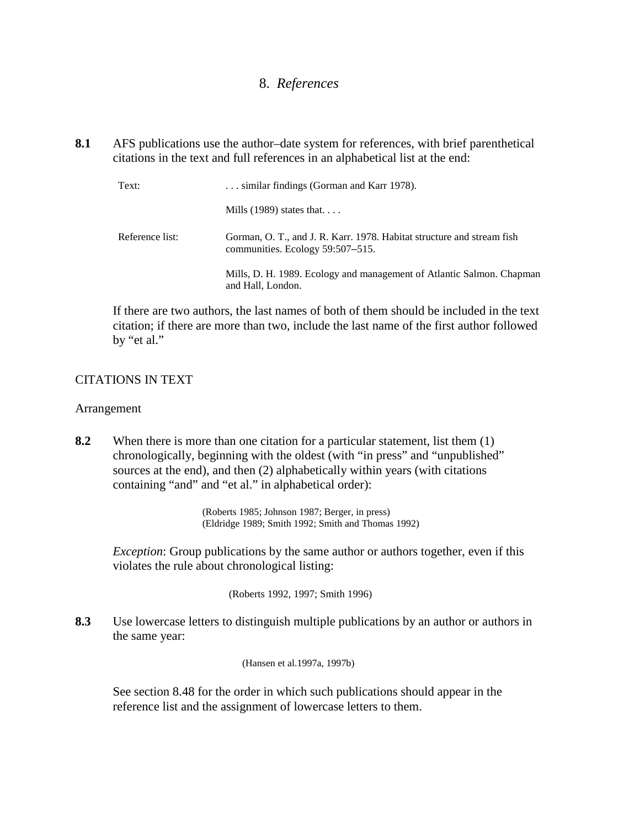# 8. *References*

**8.1** AFS publications use the author–date system for references, with brief parenthetical citations in the text and full references in an alphabetical list at the end:

| Text:           | similar findings (Gorman and Karr 1978).                                                                   |  |  |
|-----------------|------------------------------------------------------------------------------------------------------------|--|--|
|                 | Mills $(1989)$ states that                                                                                 |  |  |
| Reference list: | Gorman, O. T., and J. R. Karr. 1978. Habitat structure and stream fish<br>communities. Ecology 59:507–515. |  |  |
|                 | Mills, D. H. 1989. Ecology and management of Atlantic Salmon. Chapman<br>and Hall, London.                 |  |  |

If there are two authors, the last names of both of them should be included in the text citation; if there are more than two, include the last name of the first author followed by "et al."

## CITATIONS IN TEXT

### Arrangement

**8.2** When there is more than one citation for a particular statement, list them (1) chronologically, beginning with the oldest (with "in press" and "unpublished" sources at the end), and then (2) alphabetically within years (with citations containing "and" and "et al." in alphabetical order):

> (Roberts 1985; Johnson 1987; Berger, in press) (Eldridge 1989; Smith 1992; Smith and Thomas 1992)

*Exception*: Group publications by the same author or authors together, even if this violates the rule about chronological listing:

(Roberts 1992, 1997; Smith 1996)

**8.3** Use lowercase letters to distinguish multiple publications by an author or authors in the same year:

(Hansen et al.1997a, 1997b)

See section 8.48 for the order in which such publications should appear in the reference list and the assignment of lowercase letters to them.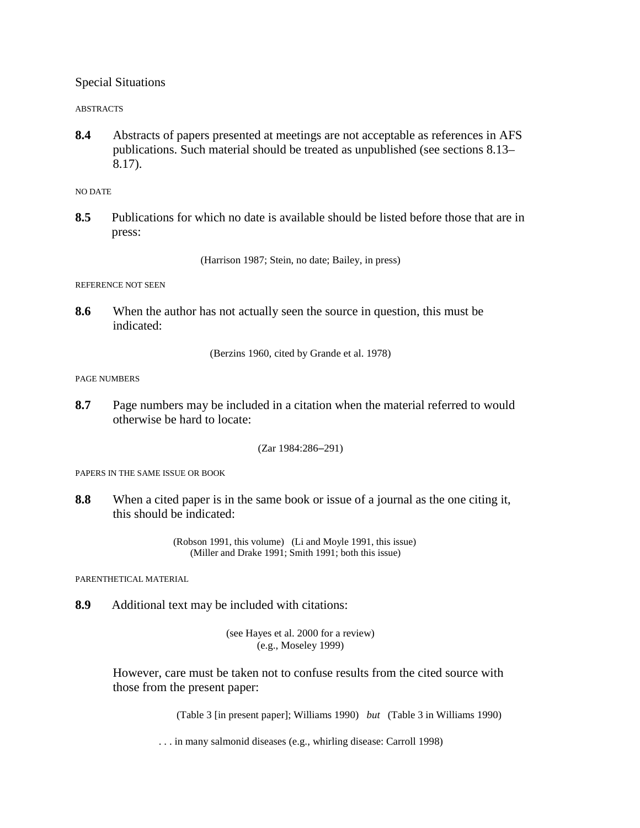Special Situations

ABSTRACTS

**8.4** Abstracts of papers presented at meetings are not acceptable as references in AFS publications. Such material should be treated as unpublished (see sections 8.13– 8.17).

NO DATE

**8.5** Publications for which no date is available should be listed before those that are in press:

(Harrison 1987; Stein, no date; Bailey, in press)

REFERENCE NOT SEEN

**8.6** When the author has not actually seen the source in question, this must be indicated:

(Berzins 1960, cited by Grande et al. 1978)

PAGE NUMBERS

**8.7** Page numbers may be included in a citation when the material referred to would otherwise be hard to locate:

(Zar 1984:286–291)

PAPERS IN THE SAME ISSUE OR BOOK

**8.8** When a cited paper is in the same book or issue of a journal as the one citing it, this should be indicated:

> (Robson 1991, this volume) (Li and Moyle 1991, this issue) (Miller and Drake 1991; Smith 1991; both this issue)

PARENTHETICAL MATERIAL

**8.9** Additional text may be included with citations:

(see Hayes et al. 2000 for a review) (e.g., Moseley 1999)

However, care must be taken not to confuse results from the cited source with those from the present paper:

(Table 3 [in present paper]; Williams 1990) *but* (Table 3 in Williams 1990)

. . . in many salmonid diseases (e.g., whirling disease: Carroll 1998)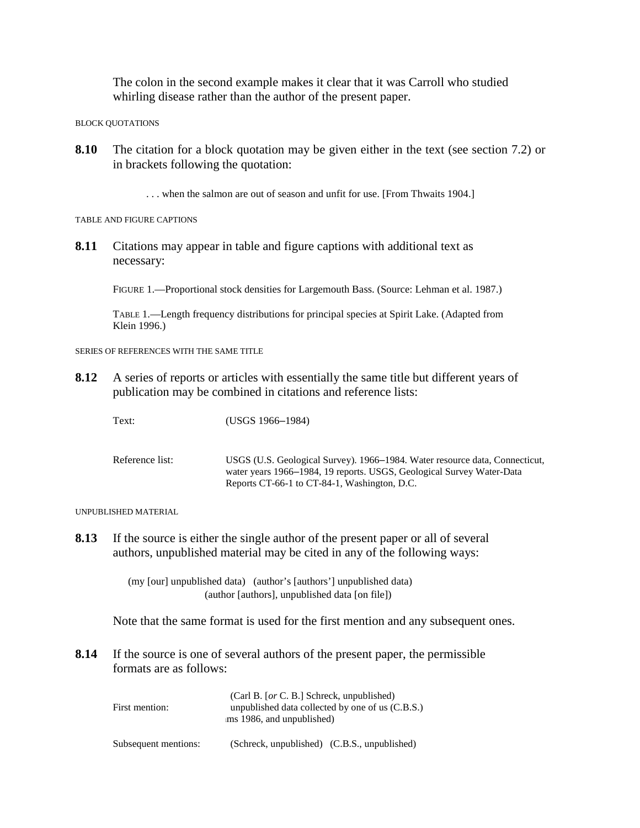The colon in the second example makes it clear that it was Carroll who studied whirling disease rather than the author of the present paper.

BLOCK QUOTATIONS

**8.10** The citation for a block quotation may be given either in the text (see section 7.2) or in brackets following the quotation:

. . . when the salmon are out of season and unfit for use. [From Thwaits 1904.]

TABLE AND FIGURE CAPTIONS

**8.11** Citations may appear in table and figure captions with additional text as necessary:

FIGURE 1.—Proportional stock densities for Largemouth Bass. (Source: Lehman et al. 1987.)

TABLE 1.—Length frequency distributions for principal species at Spirit Lake. (Adapted from Klein 1996.)

SERIES OF REFERENCES WITH THE SAME TITLE

**8.12** A series of reports or articles with essentially the same title but different years of publication may be combined in citations and reference lists:

Text: (USGS 1966–1984)

Reference list: USGS (U.S. Geological Survey). 1966–1984. Water resource data, Connecticut, water years 1966–1984, 19 reports. USGS, Geological Survey Water-Data Reports CT-66-1 to CT-84-1, Washington, D.C.

UNPUBLISHED MATERIAL

**8.13** If the source is either the single author of the present paper or all of several authors, unpublished material may be cited in any of the following ways:

> (my [our] unpublished data) (author's [authors'] unpublished data) (author [authors], unpublished data [on file])

Note that the same format is used for the first mention and any subsequent ones.

**8.14** If the source is one of several authors of the present paper, the permissible formats are as follows:

| First mention:       | (Carl B. [or C. B.] Schreck, unpublished)<br>unpublished data collected by one of us $(C.B.S.)$<br>ms 1986, and unpublished) |  |  |
|----------------------|------------------------------------------------------------------------------------------------------------------------------|--|--|
| Subsequent mentions: | (Schreck, unpublished) (C.B.S., unpublished)                                                                                 |  |  |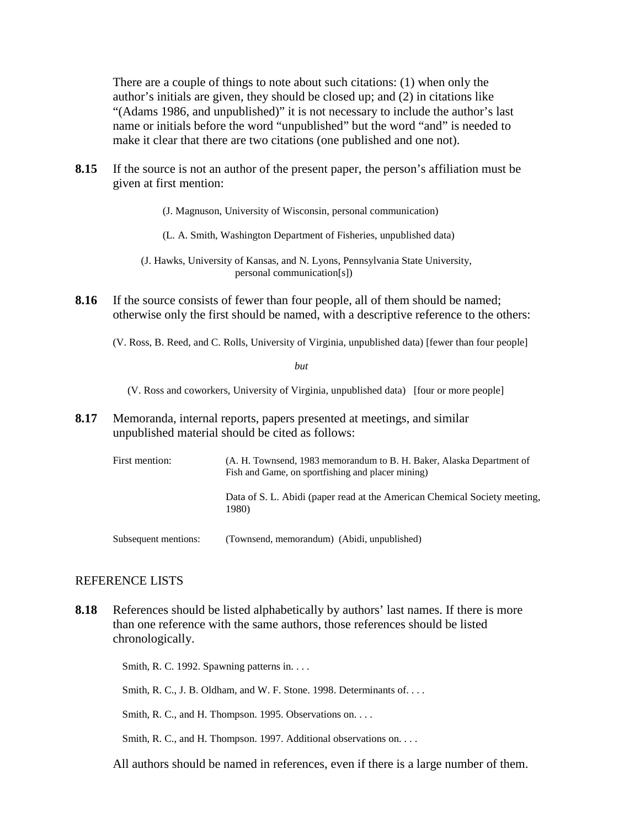There are a couple of things to note about such citations: (1) when only the author's initials are given, they should be closed up; and (2) in citations like "(Adams 1986, and unpublished)" it is not necessary to include the author's last name or initials before the word "unpublished" but the word "and" is needed to make it clear that there are two citations (one published and one not).

**8.15** If the source is not an author of the present paper, the person's affiliation must be given at first mention:

(J. Magnuson, University of Wisconsin, personal communication)

(L. A. Smith, Washington Department of Fisheries, unpublished data)

(J. Hawks, University of Kansas, and N. Lyons, Pennsylvania State University, personal communication[s])

- **8.16** If the source consists of fewer than four people, all of them should be named; otherwise only the first should be named, with a descriptive reference to the others:
	- (V. Ross, B. Reed, and C. Rolls, University of Virginia, unpublished data) [fewer than four people]

*but*

(V. Ross and coworkers, University of Virginia, unpublished data) [four or more people]

**8.17** Memoranda, internal reports, papers presented at meetings, and similar unpublished material should be cited as follows:

| First mention:       | (A. H. Townsend, 1983 memorandum to B. H. Baker, Alaska Department of<br>Fish and Game, on sportfishing and placer mining) |  |  |
|----------------------|----------------------------------------------------------------------------------------------------------------------------|--|--|
|                      | Data of S. L. Abidi (paper read at the American Chemical Society meeting,<br>1980)                                         |  |  |
| Subsequent mentions: | (Townsend, memorandum) (Abidi, unpublished)                                                                                |  |  |

### REFERENCE LISTS

**8.18** References should be listed alphabetically by authors' last names. If there is more than one reference with the same authors, those references should be listed chronologically.

Smith, R. C. 1992. Spawning patterns in. . . .

Smith, R. C., J. B. Oldham, and W. F. Stone. 1998. Determinants of....

Smith, R. C., and H. Thompson. 1995. Observations on. . . .

Smith, R. C., and H. Thompson. 1997. Additional observations on. . . .

All authors should be named in references, even if there is a large number of them.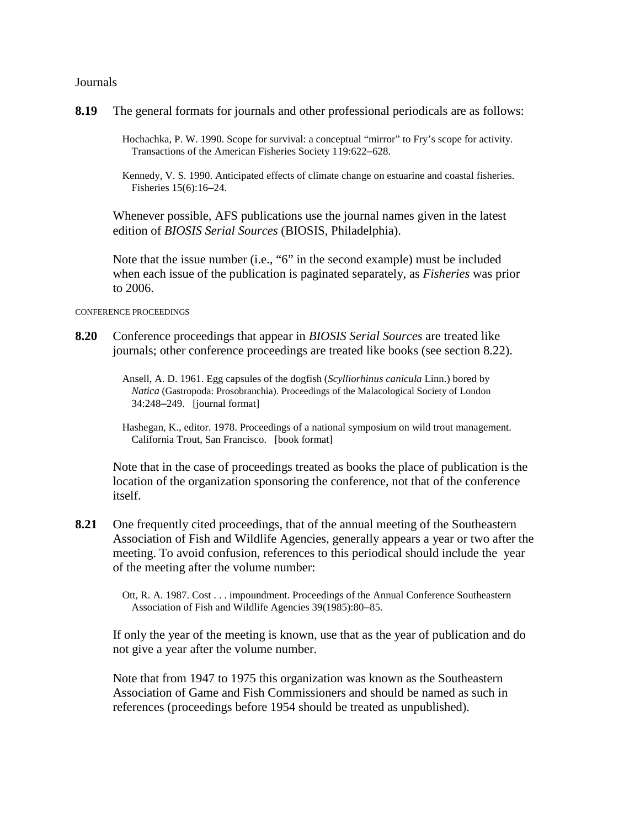**Journals** 

**8.19** The general formats for journals and other professional periodicals are as follows:

Hochachka, P. W. 1990. Scope for survival: a conceptual "mirror" to Fry's scope for activity. Transactions of the American Fisheries Society 119:622–628.

Kennedy, V. S. 1990. Anticipated effects of climate change on estuarine and coastal fisheries. Fisheries 15(6):16–24.

Whenever possible, AFS publications use the journal names given in the latest edition of *BIOSIS Serial Sources* (BIOSIS, Philadelphia).

Note that the issue number (i.e., "6" in the second example) must be included when each issue of the publication is paginated separately, as *Fisheries* was prior to 2006.

CONFERENCE PROCEEDINGS

**8.20** Conference proceedings that appear in *BIOSIS Serial Sources* are treated like journals; other conference proceedings are treated like books (see section 8.22).

> Ansell, A. D. 1961. Egg capsules of the dogfish (*Scylliorhinus canicula* Linn.) bored by *Natica* (Gastropoda: Prosobranchia). Proceedings of the Malacological Society of London 34:248–249. [journal format]

Hashegan, K., editor. 1978. Proceedings of a national symposium on wild trout management. California Trout, San Francisco. [book format]

Note that in the case of proceedings treated as books the place of publication is the location of the organization sponsoring the conference, not that of the conference itself.

**8.21** One frequently cited proceedings, that of the annual meeting of the Southeastern Association of Fish and Wildlife Agencies, generally appears a year or two after the meeting. To avoid confusion, references to this periodical should include the year of the meeting after the volume number:

> Ott, R. A. 1987. Cost . . . impoundment. Proceedings of the Annual Conference Southeastern Association of Fish and Wildlife Agencies 39(1985):80–85.

If only the year of the meeting is known, use that as the year of publication and do not give a year after the volume number.

Note that from 1947 to 1975 this organization was known as the Southeastern Association of Game and Fish Commissioners and should be named as such in references (proceedings before 1954 should be treated as unpublished).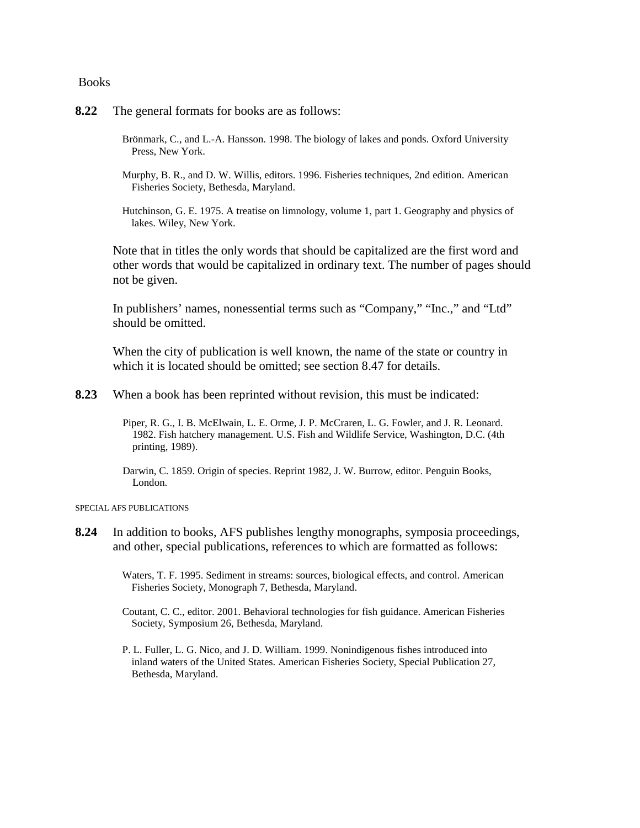Books

- **8.22** The general formats for books are as follows:
	- Brönmark, C., and L.-A. Hansson. 1998. The biology of lakes and ponds. Oxford University Press, New York.
	- Murphy, B. R., and D. W. Willis, editors. 1996. Fisheries techniques, 2nd edition. American Fisheries Society, Bethesda, Maryland.
	- Hutchinson, G. E. 1975. A treatise on limnology, volume 1, part 1. Geography and physics of lakes. Wiley, New York.

Note that in titles the only words that should be capitalized are the first word and other words that would be capitalized in ordinary text. The number of pages should not be given.

In publishers' names, nonessential terms such as "Company," "Inc.," and "Ltd" should be omitted.

When the city of publication is well known, the name of the state or country in which it is located should be omitted; see section 8.47 for details.

**8.23** When a book has been reprinted without revision, this must be indicated:

Piper, R. G., I. B. McElwain, L. E. Orme, J. P. McCraren, L. G. Fowler, and J. R. Leonard. 1982. Fish hatchery management. U.S. Fish and Wildlife Service, Washington, D.C. (4th printing, 1989).

Darwin, C. 1859. Origin of species. Reprint 1982, J. W. Burrow, editor. Penguin Books, London.

#### SPECIAL AFS PUBLICATIONS

- **8.24** In addition to books, AFS publishes lengthy monographs, symposia proceedings, and other, special publications, references to which are formatted as follows:
	- Waters, T. F. 1995. Sediment in streams: sources, biological effects, and control. American Fisheries Society, Monograph 7, Bethesda, Maryland.
	- Coutant, C. C., editor. 2001. Behavioral technologies for fish guidance. American Fisheries Society, Symposium 26, Bethesda, Maryland.
	- P. L. Fuller, L. G. Nico, and J. D. William. 1999. Nonindigenous fishes introduced into inland waters of the United States. American Fisheries Society, Special Publication 27, Bethesda, Maryland.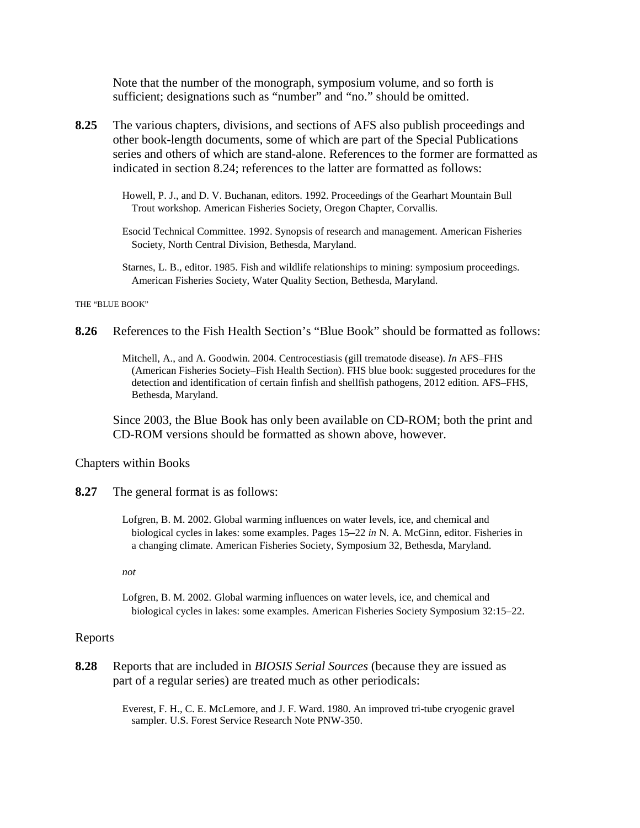Note that the number of the monograph, symposium volume, and so forth is sufficient; designations such as "number" and "no." should be omitted.

- **8.25** The various chapters, divisions, and sections of AFS also publish proceedings and other book-length documents, some of which are part of the Special Publications series and others of which are stand-alone. References to the former are formatted as indicated in section 8.24; references to the latter are formatted as follows:
	- Howell, P. J., and D. V. Buchanan, editors. 1992. Proceedings of the Gearhart Mountain Bull Trout workshop. American Fisheries Society, Oregon Chapter, Corvallis.
	- Esocid Technical Committee. 1992. Synopsis of research and management. American Fisheries Society, North Central Division, Bethesda, Maryland.
	- Starnes, L. B., editor. 1985. Fish and wildlife relationships to mining: symposium proceedings. American Fisheries Society, Water Quality Section, Bethesda, Maryland.

THE "BLUE BOOK"

- **8.26** References to the Fish Health Section's "Blue Book" should be formatted as follows:
	- Mitchell, A., and A. Goodwin. 2004. Centrocestiasis (gill trematode disease). *In* AFS–FHS (American Fisheries Society–Fish Health Section). FHS blue book: suggested procedures for the detection and identification of certain finfish and shellfish pathogens, 2012 edition. AFS–FHS, Bethesda, Maryland.

Since 2003, the Blue Book has only been available on CD-ROM; both the print and CD-ROM versions should be formatted as shown above, however.

#### Chapters within Books

- **8.27** The general format is as follows:
	- Lofgren, B. M. 2002. Global warming influences on water levels, ice, and chemical and biological cycles in lakes: some examples. Pages 15–22 *in* N. A. McGinn, editor. Fisheries in a changing climate. American Fisheries Society, Symposium 32, Bethesda, Maryland.

*not*

Lofgren, B. M. 2002. Global warming influences on water levels, ice, and chemical and biological cycles in lakes: some examples. American Fisheries Society Symposium 32:15–22.

#### Reports

**8.28** Reports that are included in *BIOSIS Serial Sources* (because they are issued as part of a regular series) are treated much as other periodicals:

> Everest, F. H., C. E. McLemore, and J. F. Ward. 1980. An improved tri-tube cryogenic gravel sampler. U.S. Forest Service Research Note PNW-350.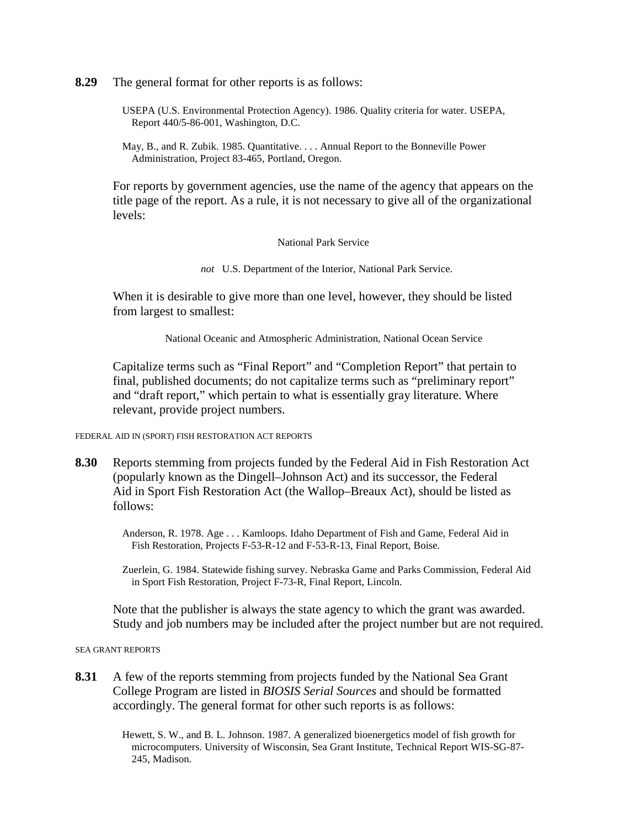**8.29** The general format for other reports is as follows:

- USEPA (U.S. Environmental Protection Agency). 1986. Quality criteria for water. USEPA, Report 440/5-86-001, Washington, D.C.
- May, B., and R. Zubik. 1985. Quantitative. . . . Annual Report to the Bonneville Power Administration, Project 83-465, Portland, Oregon.

For reports by government agencies, use the name of the agency that appears on the title page of the report. As a rule, it is not necessary to give all of the organizational levels:

National Park Service

*not* U.S. Department of the Interior, National Park Service.

When it is desirable to give more than one level, however, they should be listed from largest to smallest:

National Oceanic and Atmospheric Administration, National Ocean Service

Capitalize terms such as "Final Report" and "Completion Report" that pertain to final, published documents; do not capitalize terms such as "preliminary report" and "draft report," which pertain to what is essentially gray literature. Where relevant, provide project numbers.

FEDERAL AID IN (SPORT) FISH RESTORATION ACT REPORTS

**8.30** Reports stemming from projects funded by the Federal Aid in Fish Restoration Act (popularly known as the Dingell–Johnson Act) and its successor, the Federal Aid in Sport Fish Restoration Act (the Wallop–Breaux Act), should be listed as follows:

> Anderson, R. 1978. Age . . . Kamloops. Idaho Department of Fish and Game, Federal Aid in Fish Restoration, Projects F-53-R-12 and F-53-R-13, Final Report, Boise.

Zuerlein, G. 1984. Statewide fishing survey. Nebraska Game and Parks Commission, Federal Aid in Sport Fish Restoration, Project F-73-R, Final Report, Lincoln.

Note that the publisher is always the state agency to which the grant was awarded. Study and job numbers may be included after the project number but are not required.

SEA GRANT REPORTS

**8.31** A few of the reports stemming from projects funded by the National Sea Grant College Program are listed in *BIOSIS Serial Sources* and should be formatted accordingly. The general format for other such reports is as follows:

> Hewett, S. W., and B. L. Johnson. 1987. A generalized bioenergetics model of fish growth for microcomputers. University of Wisconsin, Sea Grant Institute, Technical Report WIS-SG-87- 245, Madison.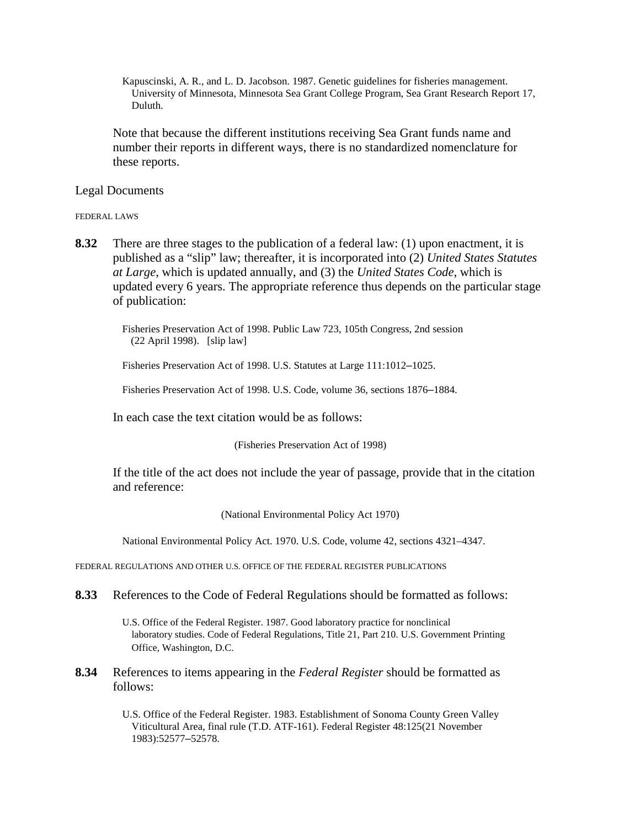Kapuscinski, A. R., and L. D. Jacobson. 1987. Genetic guidelines for fisheries management. University of Minnesota, Minnesota Sea Grant College Program, Sea Grant Research Report 17, Duluth.

Note that because the different institutions receiving Sea Grant funds name and number their reports in different ways, there is no standardized nomenclature for these reports.

Legal Documents

FEDERAL LAWS

**8.32** There are three stages to the publication of a federal law: (1) upon enactment, it is published as a "slip" law; thereafter, it is incorporated into (2) *United States Statutes at Large*, which is updated annually, and (3) the *United States Code*, which is updated every 6 years. The appropriate reference thus depends on the particular stage of publication:

Fisheries Preservation Act of 1998. Public Law 723, 105th Congress, 2nd session (22 April 1998). [slip law]

Fisheries Preservation Act of 1998. U.S. Statutes at Large 111:1012–1025.

Fisheries Preservation Act of 1998. U.S. Code, volume 36, sections 1876–1884.

In each case the text citation would be as follows:

(Fisheries Preservation Act of 1998)

If the title of the act does not include the year of passage, provide that in the citation and reference:

(National Environmental Policy Act 1970)

National Environmental Policy Act. 1970. U.S. Code, volume 42, sections 4321–4347.

FEDERAL REGULATIONS AND OTHER U.S. OFFICE OF THE FEDERAL REGISTER PUBLICATIONS

**8.33** References to the Code of Federal Regulations should be formatted as follows:

U.S. Office of the Federal Register. 1987. Good laboratory practice for nonclinical laboratory studies. Code of Federal Regulations, Title 21, Part 210. U.S. Government Printing Office, Washington, D.C.

**8.34** References to items appearing in the *Federal Register* should be formatted as follows:

> U.S. Office of the Federal Register. 1983. Establishment of Sonoma County Green Valley Viticultural Area, final rule (T.D. ATF-161). Federal Register 48:125(21 November 1983):52577–52578.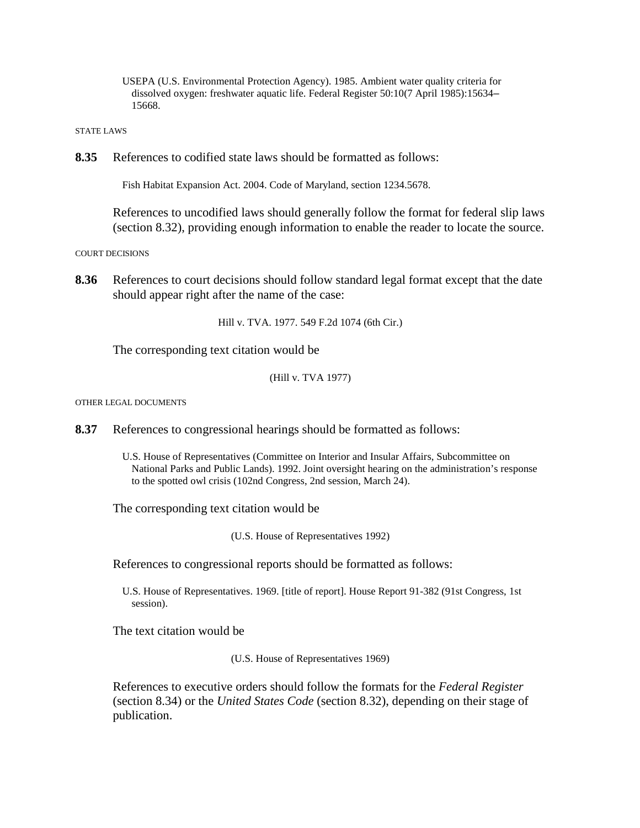USEPA (U.S. Environmental Protection Agency). 1985. Ambient water quality criteria for dissolved oxygen: freshwater aquatic life. Federal Register 50:10(7 April 1985):15634– 15668.

STATE LAWS

**8.35** References to codified state laws should be formatted as follows:

Fish Habitat Expansion Act. 2004. Code of Maryland, section 1234.5678.

References to uncodified laws should generally follow the format for federal slip laws (section 8.32), providing enough information to enable the reader to locate the source.

COURT DECISIONS

**8.36** References to court decisions should follow standard legal format except that the date should appear right after the name of the case:

Hill v. TVA. 1977. 549 F.2d 1074 (6th Cir.)

The corresponding text citation would be

(Hill v. TVA 1977)

OTHER LEGAL DOCUMENTS

**8.37** References to congressional hearings should be formatted as follows:

U.S. House of Representatives (Committee on Interior and Insular Affairs, Subcommittee on National Parks and Public Lands). 1992. Joint oversight hearing on the administration's response to the spotted owl crisis (102nd Congress, 2nd session, March 24).

The corresponding text citation would be

(U.S. House of Representatives 1992)

References to congressional reports should be formatted as follows:

U.S. House of Representatives. 1969. [title of report]. House Report 91-382 (91st Congress, 1st session).

The text citation would be

(U.S. House of Representatives 1969)

References to executive orders should follow the formats for the *Federal Register* (section 8.34) or the *United States Code* (section 8.32), depending on their stage of publication.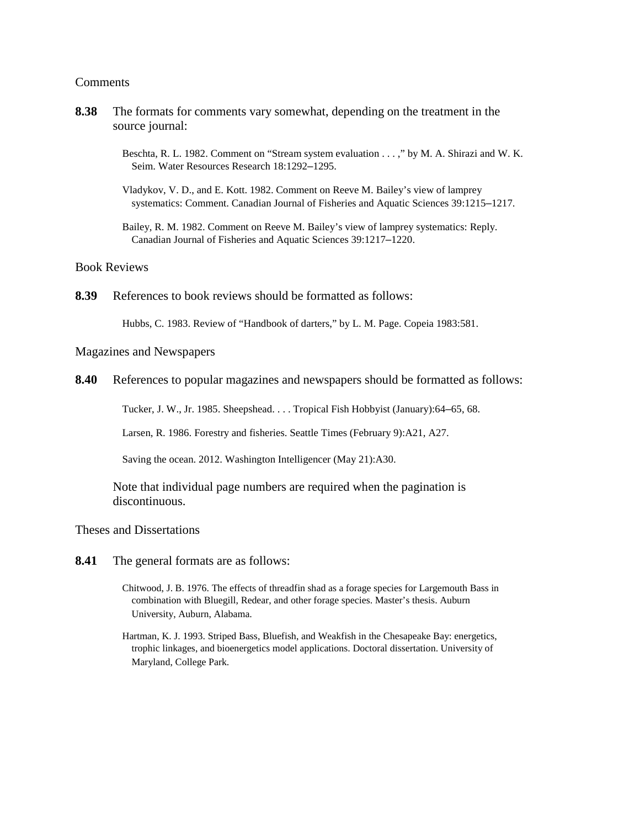#### Comments

- **8.38** The formats for comments vary somewhat, depending on the treatment in the source journal:
	- Beschta, R. L. 1982. Comment on "Stream system evaluation . . . ," by M. A. Shirazi and W. K. Seim. Water Resources Research 18:1292–1295.
	- Vladykov, V. D., and E. Kott. 1982. Comment on Reeve M. Bailey's view of lamprey systematics: Comment. Canadian Journal of Fisheries and Aquatic Sciences 39:1215–1217.
	- Bailey, R. M. 1982. Comment on Reeve M. Bailey's view of lamprey systematics: Reply. Canadian Journal of Fisheries and Aquatic Sciences 39:1217–1220.

### Book Reviews

**8.39** References to book reviews should be formatted as follows:

Hubbs, C. 1983. Review of "Handbook of darters," by L. M. Page. Copeia 1983:581.

### Magazines and Newspapers

**8.40** References to popular magazines and newspapers should be formatted as follows:

Tucker, J. W., Jr. 1985. Sheepshead. . . . Tropical Fish Hobbyist (January):64–65, 68.

Larsen, R. 1986. Forestry and fisheries. Seattle Times (February 9):A21, A27.

Saving the ocean. 2012. Washington Intelligencer (May 21):A30.

Note that individual page numbers are required when the pagination is discontinuous.

Theses and Dissertations

- **8.41** The general formats are as follows:
	- Chitwood, J. B. 1976. The effects of threadfin shad as a forage species for Largemouth Bass in combination with Bluegill, Redear, and other forage species. Master's thesis. Auburn University, Auburn, Alabama.
	- Hartman, K. J. 1993. Striped Bass, Bluefish, and Weakfish in the Chesapeake Bay: energetics, trophic linkages, and bioenergetics model applications. Doctoral dissertation. University of Maryland, College Park.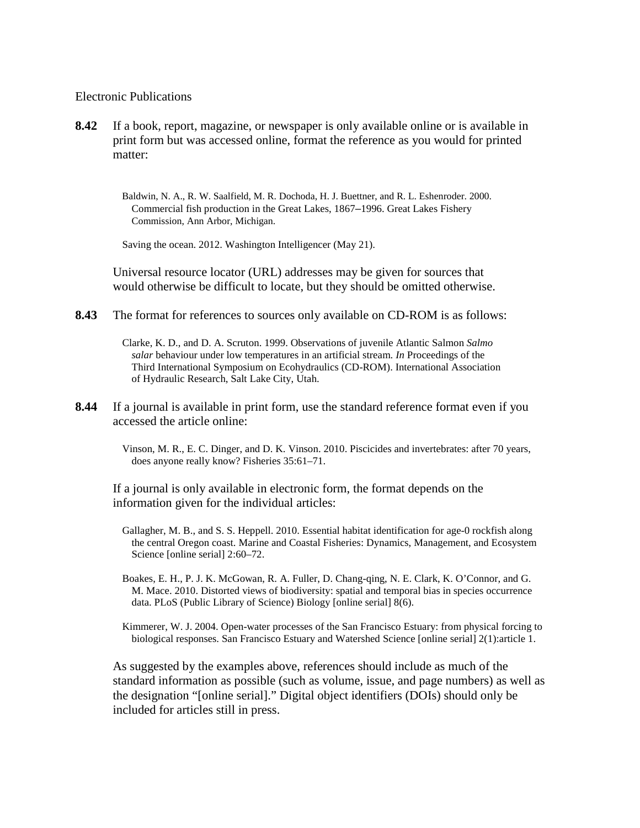### Electronic Publications

**8.42** If a book, report, magazine, or newspaper is only available online or is available in print form but was accessed online, format the reference as you would for printed matter:

> Baldwin, N. A., R. W. Saalfield, M. R. Dochoda, H. J. Buettner, and R. L. Eshenroder. 2000. Commercial fish production in the Great Lakes, 1867–1996. Great Lakes Fishery Commission, Ann Arbor, Michigan.

Saving the ocean. 2012. Washington Intelligencer (May 21).

Universal resource locator (URL) addresses may be given for sources that would otherwise be difficult to locate, but they should be omitted otherwise.

**8.43** The format for references to sources only available on CD-ROM is as follows:

Clarke, K. D., and D. A. Scruton. 1999. Observations of juvenile Atlantic Salmon *Salmo salar* behaviour under low temperatures in an artificial stream. *In* Proceedings of the Third International Symposium on Ecohydraulics (CD-ROM). International Association of Hydraulic Research, Salt Lake City, Utah.

**8.44** If a journal is available in print form, use the standard reference format even if you accessed the article online:

> Vinson, M. R., E. C. Dinger, and D. K. Vinson. 2010. Piscicides and invertebrates: after 70 years, does anyone really know? Fisheries 35:61–71.

If a journal is only available in electronic form, the format depends on the information given for the individual articles:

- Gallagher, M. B., and S. S. Heppell. 2010. Essential habitat identification for age-0 rockfish along the central Oregon coast. Marine and Coastal Fisheries: Dynamics, Management, and Ecosystem Science [online serial] 2:60–72.
- Boakes, E. H., P. J. K. McGowan, R. A. Fuller, D. Chang-qing, N. E. Clark, K. O'Connor, and G. M. Mace. 2010. Distorted views of biodiversity: spatial and temporal bias in species occurrence data. PLoS (Public Library of Science) Biology [online serial] 8(6).
- Kimmerer, W. J. 2004. Open-water processes of the San Francisco Estuary: from physical forcing to biological responses. San Francisco Estuary and Watershed Science [online serial] 2(1):article 1.

As suggested by the examples above, references should include as much of the standard information as possible (such as volume, issue, and page numbers) as well as the designation "[online serial]." Digital object identifiers (DOIs) should only be included for articles still in press.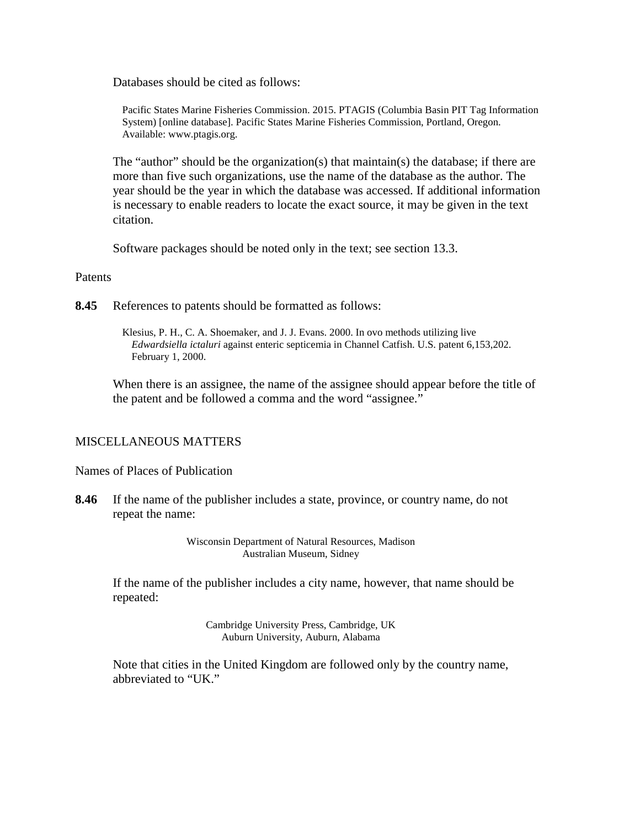Databases should be cited as follows:

Pacific States Marine Fisheries Commission. 2015. PTAGIS (Columbia Basin PIT Tag Information System) [online database]. Pacific States Marine Fisheries Commission, Portland, Oregon. Available: www.ptagis.org.

The "author" should be the organization(s) that maintain(s) the database; if there are more than five such organizations, use the name of the database as the author. The year should be the year in which the database was accessed. If additional information is necessary to enable readers to locate the exact source, it may be given in the text citation.

Software packages should be noted only in the text; see section 13.3.

### Patents

**8.45** References to patents should be formatted as follows:

Klesius, P. H., C. A. Shoemaker, and J. J. Evans. 2000. In ovo methods utilizing live *Edwardsiella ictaluri* against enteric septicemia in Channel Catfish. U.S. patent 6,153,202. February 1, 2000.

When there is an assignee, the name of the assignee should appear before the title of the patent and be followed a comma and the word "assignee."

## MISCELLANEOUS MATTERS

Names of Places of Publication

**8.46** If the name of the publisher includes a state, province, or country name, do not repeat the name:

> Wisconsin Department of Natural Resources, Madison Australian Museum, Sidney

If the name of the publisher includes a city name, however, that name should be repeated:

> Cambridge University Press, Cambridge, UK Auburn University, Auburn, Alabama

Note that cities in the United Kingdom are followed only by the country name, abbreviated to "UK."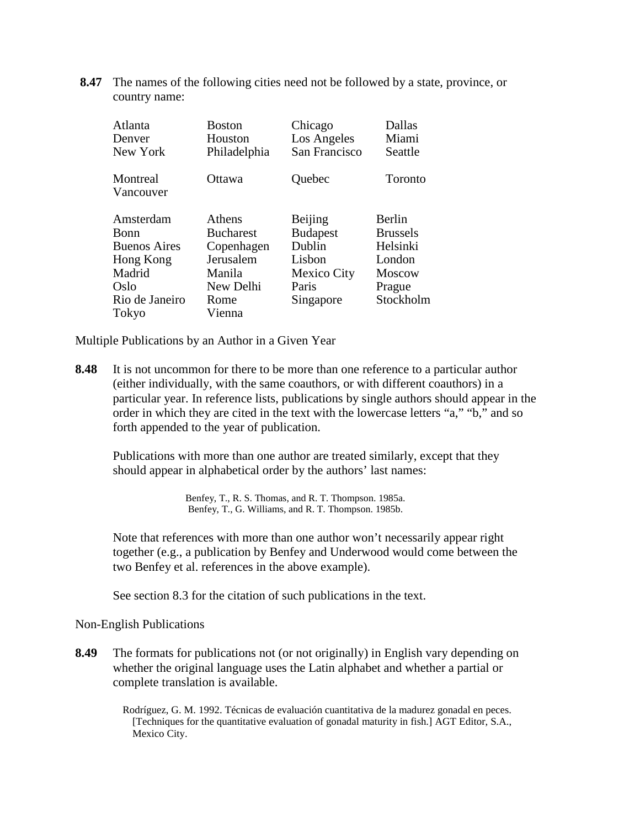**8.47** The names of the following cities need not be followed by a state, province, or country name:

| Atlanta               | <b>Boston</b>    | Chicago         | Dallas          |
|-----------------------|------------------|-----------------|-----------------|
| Denver                | Houston          | Los Angeles     | Miami           |
| New York              | Philadelphia     | San Francisco   | Seattle         |
| Montreal<br>Vancouver | Ottawa           | Quebec          | Toronto         |
| Amsterdam             | Athens           | Beijing         | Berlin          |
| Bonn                  | <b>Bucharest</b> | <b>Budapest</b> | <b>Brussels</b> |
| <b>Buenos Aires</b>   | Copenhagen       | Dublin          | Helsinki        |
| Hong Kong             | Jerusalem        | Lisbon          | London          |
| Madrid                | Manila           | Mexico City     | <b>Moscow</b>   |
| Oslo                  | New Delhi        | Paris           | Prague          |
| Rio de Janeiro        | Rome             | Singapore       | Stockholm       |
| Tokyo                 | Vienna           |                 |                 |

Multiple Publications by an Author in a Given Year

**8.48** It is not uncommon for there to be more than one reference to a particular author (either individually, with the same coauthors, or with different coauthors) in a particular year. In reference lists, publications by single authors should appear in the order in which they are cited in the text with the lowercase letters "a," "b," and so forth appended to the year of publication.

Publications with more than one author are treated similarly, except that they should appear in alphabetical order by the authors' last names:

> Benfey, T., R. S. Thomas, and R. T. Thompson. 1985a. Benfey, T., G. Williams, and R. T. Thompson. 1985b.

Note that references with more than one author won't necessarily appear right together (e.g., a publication by Benfey and Underwood would come between the two Benfey et al. references in the above example).

See section 8.3 for the citation of such publications in the text.

Non-English Publications

**8.49** The formats for publications not (or not originally) in English vary depending on whether the original language uses the Latin alphabet and whether a partial or complete translation is available.

> Rodríguez, G. M. 1992. Técnicas de evaluación cuantitativa de la madurez gonadal en peces. [Techniques for the quantitative evaluation of gonadal maturity in fish.] AGT Editor, S.A., Mexico City.